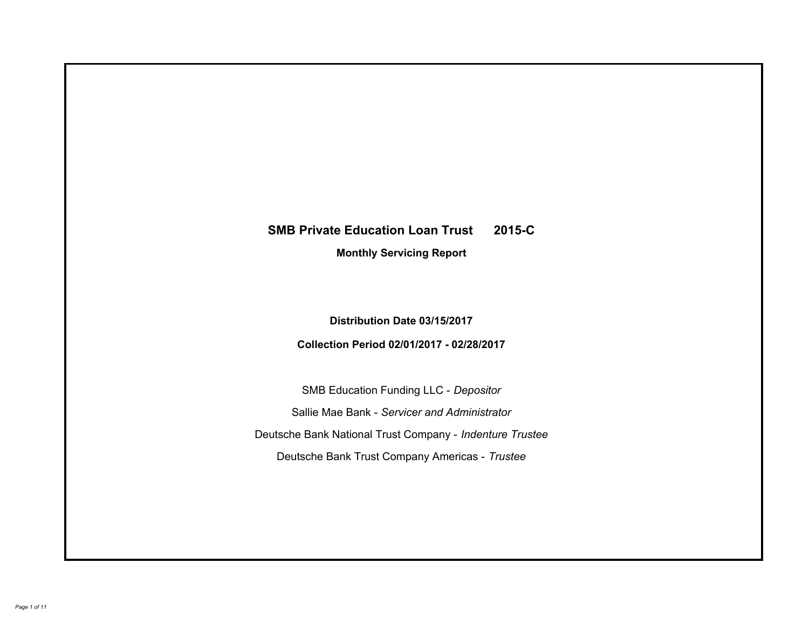# **SMB Private Education Loan Trust 2015-C Monthly Servicing Report**

**Distribution Date 03/15/2017**

**Collection Period 02/01/2017 - 02/28/2017**

SMB Education Funding LLC - *Depositor* Sallie Mae Bank - *Servicer and Administrator* Deutsche Bank National Trust Company - *Indenture Trustee* Deutsche Bank Trust Company Americas - *Trustee*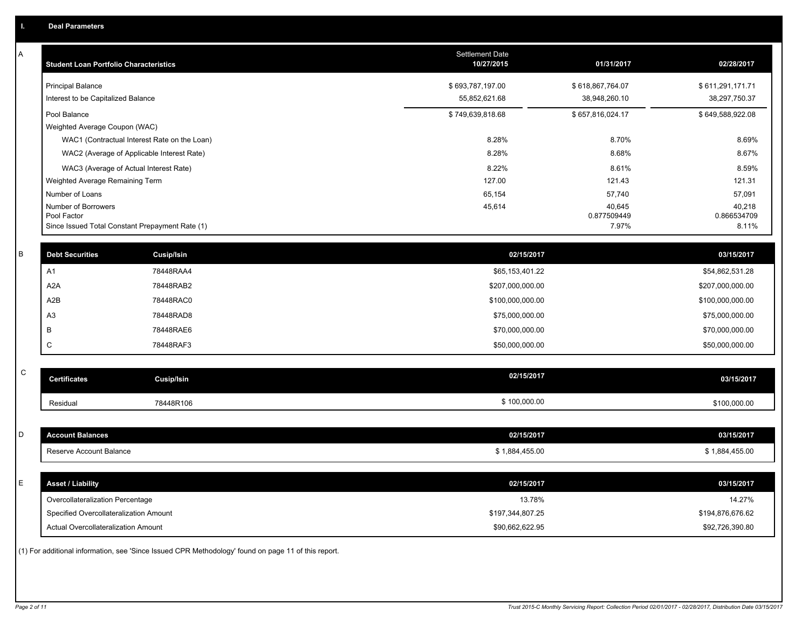| Α           | <b>Student Loan Portfolio Characteristics</b>                  |                                                                                                     | <b>Settlement Date</b><br>10/27/2015 | 01/31/2017           | 02/28/2017           |
|-------------|----------------------------------------------------------------|-----------------------------------------------------------------------------------------------------|--------------------------------------|----------------------|----------------------|
|             | <b>Principal Balance</b>                                       |                                                                                                     | \$693,787,197.00                     | \$618,867,764.07     | \$611,291,171.71     |
|             | Interest to be Capitalized Balance                             |                                                                                                     | 55,852,621.68                        | 38,948,260.10        | 38,297,750.37        |
|             | Pool Balance                                                   |                                                                                                     | \$749,639,818.68                     | \$657,816,024.17     | \$649,588,922.08     |
|             | Weighted Average Coupon (WAC)                                  |                                                                                                     |                                      |                      |                      |
|             |                                                                | WAC1 (Contractual Interest Rate on the Loan)                                                        | 8.28%                                | 8.70%                | 8.69%                |
|             |                                                                | WAC2 (Average of Applicable Interest Rate)                                                          | 8.28%                                | 8.68%                | 8.67%                |
|             | WAC3 (Average of Actual Interest Rate)                         |                                                                                                     | 8.22%                                | 8.61%                | 8.59%                |
|             | Weighted Average Remaining Term                                |                                                                                                     | 127.00                               | 121.43               | 121.31               |
|             | Number of Loans                                                |                                                                                                     | 65,154                               | 57,740               | 57,091               |
|             | Number of Borrowers                                            |                                                                                                     | 45,614                               | 40,645               | 40,218               |
|             | Pool Factor<br>Since Issued Total Constant Prepayment Rate (1) |                                                                                                     |                                      | 0.877509449<br>7.97% | 0.866534709<br>8.11% |
|             |                                                                |                                                                                                     |                                      |                      |                      |
| В           | <b>Debt Securities</b>                                         | <b>Cusip/Isin</b>                                                                                   | 02/15/2017                           |                      | 03/15/2017           |
|             | A1                                                             | 78448RAA4                                                                                           | \$65,153,401.22                      |                      | \$54,862,531.28      |
|             | A <sub>2</sub> A                                               | 78448RAB2                                                                                           | \$207,000,000.00                     |                      | \$207,000,000.00     |
|             | A2B                                                            | 78448RAC0                                                                                           | \$100,000,000.00                     |                      | \$100,000,000.00     |
|             | A <sub>3</sub>                                                 | 78448RAD8                                                                                           | \$75,000,000.00                      |                      | \$75,000,000.00      |
|             | B                                                              | 78448RAE6                                                                                           | \$70,000,000.00                      |                      | \$70,000,000.00      |
|             | C                                                              | 78448RAF3                                                                                           | \$50,000,000.00                      |                      | \$50,000,000.00      |
|             |                                                                |                                                                                                     |                                      |                      |                      |
| $\mathbf C$ | <b>Certificates</b>                                            | <b>Cusip/Isin</b>                                                                                   | 02/15/2017                           |                      | 03/15/2017           |
|             | Residual                                                       | 78448R106                                                                                           | \$100,000.00                         |                      | \$100,000.00         |
|             |                                                                |                                                                                                     |                                      |                      |                      |
| D           | <b>Account Balances</b>                                        |                                                                                                     | 02/15/2017                           |                      | 03/15/2017           |
|             | Reserve Account Balance                                        |                                                                                                     | \$1,884,455.00                       |                      | \$1,884,455.00       |
|             |                                                                |                                                                                                     |                                      |                      |                      |
| E           | <b>Asset / Liability</b>                                       |                                                                                                     | 02/15/2017                           |                      | 03/15/2017           |
|             | Overcollateralization Percentage                               |                                                                                                     | 13.78%                               |                      | 14.27%               |
|             | Specified Overcollateralization Amount                         |                                                                                                     | \$197,344,807.25                     |                      | \$194,876,676.62     |
|             | Actual Overcollateralization Amount                            |                                                                                                     | \$90,662,622.95                      |                      | \$92,726,390.80      |
|             |                                                                | (1) For additional information, see 'Since Issued CPR Methodology' found on page 11 of this report. |                                      |                      |                      |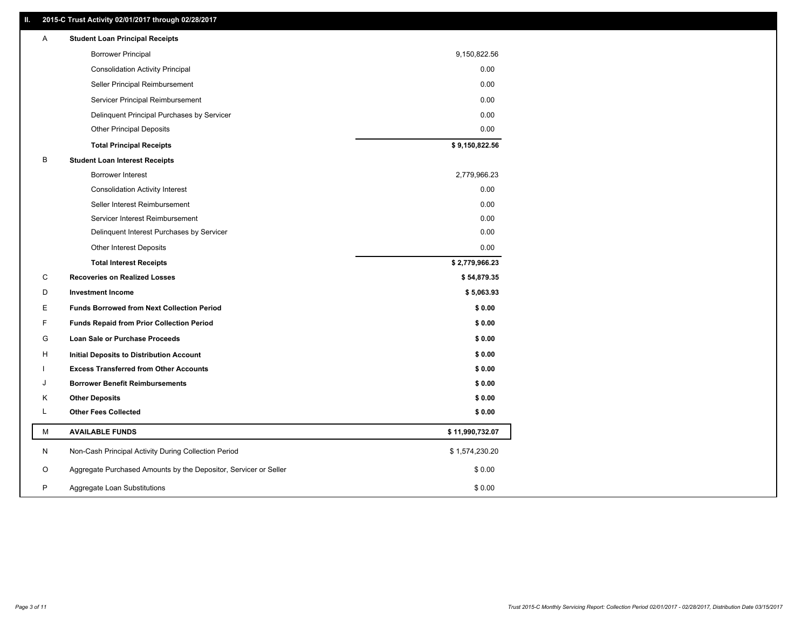### **II. 2015-C Trust Activity 02/01/2017 through 02/28/2017**

| <b>Borrower Principal</b><br>9,150,822.56<br>0.00<br><b>Consolidation Activity Principal</b><br>0.00<br>Seller Principal Reimbursement<br>0.00<br>Servicer Principal Reimbursement |  |
|------------------------------------------------------------------------------------------------------------------------------------------------------------------------------------|--|
|                                                                                                                                                                                    |  |
|                                                                                                                                                                                    |  |
|                                                                                                                                                                                    |  |
|                                                                                                                                                                                    |  |
| Delinquent Principal Purchases by Servicer<br>0.00                                                                                                                                 |  |
| <b>Other Principal Deposits</b><br>0.00                                                                                                                                            |  |
| \$9,150,822.56<br><b>Total Principal Receipts</b>                                                                                                                                  |  |
| B<br><b>Student Loan Interest Receipts</b>                                                                                                                                         |  |
| 2,779,966.23<br>Borrower Interest                                                                                                                                                  |  |
| 0.00<br><b>Consolidation Activity Interest</b>                                                                                                                                     |  |
| 0.00<br>Seller Interest Reimbursement                                                                                                                                              |  |
| Servicer Interest Reimbursement<br>0.00                                                                                                                                            |  |
| 0.00<br>Delinquent Interest Purchases by Servicer                                                                                                                                  |  |
| <b>Other Interest Deposits</b><br>0.00                                                                                                                                             |  |
| \$2,779,966.23<br><b>Total Interest Receipts</b>                                                                                                                                   |  |
| C<br><b>Recoveries on Realized Losses</b><br>\$54,879.35                                                                                                                           |  |
| D<br><b>Investment Income</b><br>\$5,063.93                                                                                                                                        |  |
| Е<br>\$0.00<br><b>Funds Borrowed from Next Collection Period</b>                                                                                                                   |  |
| F.<br>\$0.00<br><b>Funds Repaid from Prior Collection Period</b>                                                                                                                   |  |
| G<br>\$0.00<br>Loan Sale or Purchase Proceeds                                                                                                                                      |  |
| \$0.00<br>н<br>Initial Deposits to Distribution Account                                                                                                                            |  |
| \$0.00<br><b>Excess Transferred from Other Accounts</b>                                                                                                                            |  |
| <b>Borrower Benefit Reimbursements</b><br>\$0.00<br>J                                                                                                                              |  |
| <b>Other Deposits</b><br>\$0.00<br>Κ                                                                                                                                               |  |
| L<br><b>Other Fees Collected</b><br>\$0.00                                                                                                                                         |  |
| М<br><b>AVAILABLE FUNDS</b><br>\$11,990,732.07                                                                                                                                     |  |
| N<br>Non-Cash Principal Activity During Collection Period<br>\$1,574,230.20                                                                                                        |  |
| \$0.00<br>O<br>Aggregate Purchased Amounts by the Depositor, Servicer or Seller                                                                                                    |  |
| P<br>\$0.00<br>Aggregate Loan Substitutions                                                                                                                                        |  |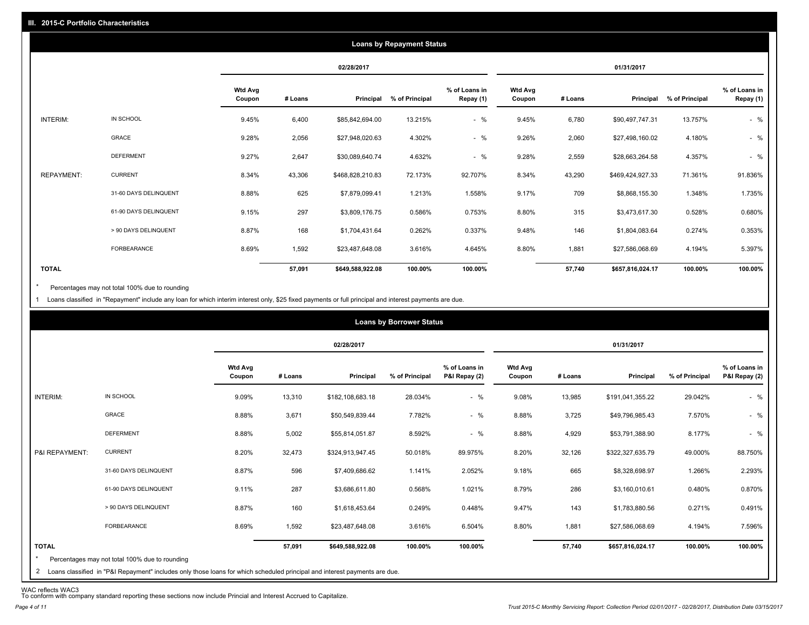|                   |                       |                   |         |                  | <b>Loans by Repayment Status</b> |                            |                          |         |                  |                |                            |
|-------------------|-----------------------|-------------------|---------|------------------|----------------------------------|----------------------------|--------------------------|---------|------------------|----------------|----------------------------|
|                   |                       |                   |         | 02/28/2017       |                                  |                            |                          |         | 01/31/2017       |                |                            |
|                   |                       | Wtd Avg<br>Coupon | # Loans | Principal        | % of Principal                   | % of Loans in<br>Repay (1) | <b>Wtd Avg</b><br>Coupon | # Loans | Principal        | % of Principal | % of Loans in<br>Repay (1) |
| INTERIM:          | IN SCHOOL             | 9.45%             | 6,400   | \$85,842,694.00  | 13.215%                          | $-$ %                      | 9.45%                    | 6,780   | \$90,497,747.31  | 13.757%        | $-$ %                      |
|                   | GRACE                 | 9.28%             | 2,056   | \$27,948,020.63  | 4.302%                           | $-$ %                      | 9.26%                    | 2,060   | \$27,498,160.02  | 4.180%         | $-$ %                      |
|                   | <b>DEFERMENT</b>      | 9.27%             | 2,647   | \$30,089,640.74  | 4.632%                           | $-$ %                      | 9.28%                    | 2,559   | \$28,663,264.58  | 4.357%         | $-$ %                      |
| <b>REPAYMENT:</b> | <b>CURRENT</b>        | 8.34%             | 43,306  | \$468,828,210.83 | 72.173%                          | 92.707%                    | 8.34%                    | 43,290  | \$469,424,927.33 | 71.361%        | 91.836%                    |
|                   | 31-60 DAYS DELINQUENT | 8.88%             | 625     | \$7,879,099.41   | 1.213%                           | 1.558%                     | 9.17%                    | 709     | \$8,868,155.30   | 1.348%         | 1.735%                     |
|                   | 61-90 DAYS DELINQUENT | 9.15%             | 297     | \$3,809,176.75   | 0.586%                           | 0.753%                     | 8.80%                    | 315     | \$3,473,617.30   | 0.528%         | 0.680%                     |
|                   | > 90 DAYS DELINQUENT  | 8.87%             | 168     | \$1,704,431.64   | 0.262%                           | 0.337%                     | 9.48%                    | 146     | \$1,804,083.64   | 0.274%         | 0.353%                     |
|                   | FORBEARANCE           | 8.69%             | 1,592   | \$23,487,648.08  | 3.616%                           | 4.645%                     | 8.80%                    | 1,881   | \$27,586,068.69  | 4.194%         | 5.397%                     |
| <b>TOTAL</b>      |                       |                   | 57,091  | \$649,588,922.08 | 100.00%                          | 100.00%                    |                          | 57,740  | \$657,816,024.17 | 100.00%        | 100.00%                    |

Percentages may not total 100% due to rounding \*

1 Loans classified in "Repayment" include any loan for which interim interest only, \$25 fixed payments or full principal and interest payments are due.

|                |                       |                          |         | 02/28/2017       |                |                                |                   |         | 01/31/2017       |                |                                |
|----------------|-----------------------|--------------------------|---------|------------------|----------------|--------------------------------|-------------------|---------|------------------|----------------|--------------------------------|
|                |                       | <b>Wtd Avg</b><br>Coupon | # Loans | Principal        | % of Principal | % of Loans in<br>P&I Repay (2) | Wtd Avg<br>Coupon | # Loans | Principal        | % of Principal | % of Loans in<br>P&I Repay (2) |
| INTERIM:       | IN SCHOOL             | 9.09%                    | 13,310  | \$182,108,683.18 | 28.034%        | $-$ %                          | 9.08%             | 13,985  | \$191,041,355.22 | 29.042%        | $-$ %                          |
|                | <b>GRACE</b>          | 8.88%                    | 3,671   | \$50,549,839.44  | 7.782%         | $-$ %                          | 8.88%             | 3,725   | \$49,796,985.43  | 7.570%         | $-$ %                          |
|                | <b>DEFERMENT</b>      | 8.88%                    | 5,002   | \$55,814,051.87  | 8.592%         | $-$ %                          | 8.88%             | 4,929   | \$53,791,388.90  | 8.177%         | $-$ %                          |
| P&I REPAYMENT: | <b>CURRENT</b>        | 8.20%                    | 32,473  | \$324,913,947.45 | 50.018%        | 89.975%                        | 8.20%             | 32,126  | \$322,327,635.79 | 49.000%        | 88.750%                        |
|                | 31-60 DAYS DELINQUENT | 8.87%                    | 596     | \$7,409,686.62   | 1.141%         | 2.052%                         | 9.18%             | 665     | \$8,328,698.97   | 1.266%         | 2.293%                         |
|                | 61-90 DAYS DELINQUENT | 9.11%                    | 287     | \$3,686,611.80   | 0.568%         | 1.021%                         | 8.79%             | 286     | \$3,160,010.61   | 0.480%         | 0.870%                         |
|                | > 90 DAYS DELINQUENT  | 8.87%                    | 160     | \$1,618,453.64   | 0.249%         | 0.448%                         | 9.47%             | 143     | \$1,783,880.56   | 0.271%         | 0.491%                         |
|                | FORBEARANCE           | 8.69%                    | 1,592   | \$23,487,648.08  | 3.616%         | 6.504%                         | 8.80%             | 1,881   | \$27,586,068.69  | 4.194%         | 7.596%                         |
| <b>TOTAL</b>   |                       |                          | 57,091  | \$649,588,922.08 | 100.00%        | 100.00%                        |                   | 57,740  | \$657,816,024.17 | 100.00%        | 100.00%                        |

WAC reflects WAC3 To conform with company standard reporting these sections now include Princial and Interest Accrued to Capitalize.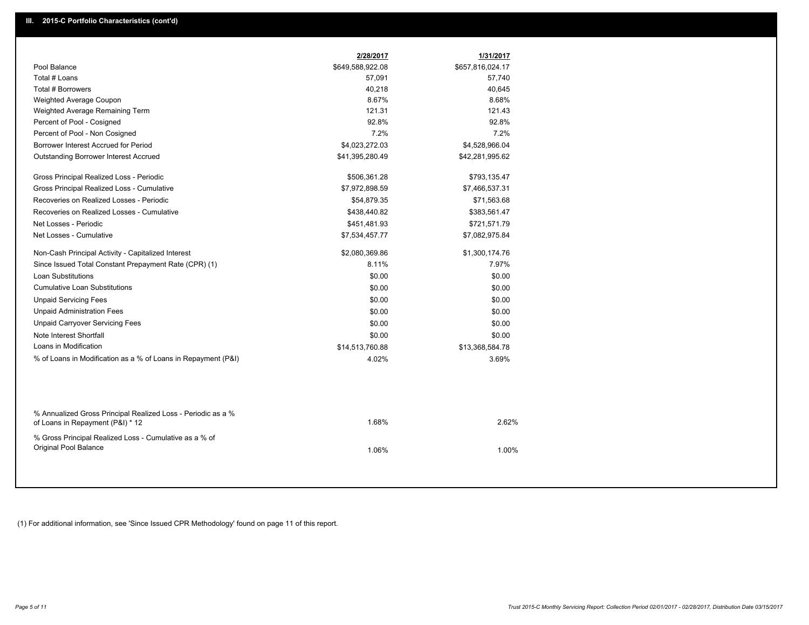|                                                                                                  | 2/28/2017        | 1/31/2017        |
|--------------------------------------------------------------------------------------------------|------------------|------------------|
| Pool Balance                                                                                     | \$649,588,922.08 | \$657,816,024.17 |
| Total # Loans                                                                                    | 57,091           | 57,740           |
| Total # Borrowers                                                                                | 40,218           | 40,645           |
| Weighted Average Coupon                                                                          | 8.67%            | 8.68%            |
| Weighted Average Remaining Term                                                                  | 121.31           | 121.43           |
| Percent of Pool - Cosigned                                                                       | 92.8%            | 92.8%            |
| Percent of Pool - Non Cosigned                                                                   | 7.2%             | 7.2%             |
| Borrower Interest Accrued for Period                                                             | \$4,023,272.03   | \$4,528,966.04   |
| Outstanding Borrower Interest Accrued                                                            | \$41,395,280.49  | \$42,281,995.62  |
| Gross Principal Realized Loss - Periodic                                                         | \$506,361.28     | \$793,135.47     |
| Gross Principal Realized Loss - Cumulative                                                       | \$7,972,898.59   | \$7,466,537.31   |
| Recoveries on Realized Losses - Periodic                                                         | \$54,879.35      | \$71,563.68      |
| Recoveries on Realized Losses - Cumulative                                                       | \$438,440.82     | \$383,561.47     |
| Net Losses - Periodic                                                                            | \$451,481.93     | \$721,571.79     |
| Net Losses - Cumulative                                                                          | \$7,534,457.77   | \$7,082,975.84   |
| Non-Cash Principal Activity - Capitalized Interest                                               | \$2,080,369.86   | \$1,300,174.76   |
| Since Issued Total Constant Prepayment Rate (CPR) (1)                                            | 8.11%            | 7.97%            |
| <b>Loan Substitutions</b>                                                                        | \$0.00           | \$0.00           |
| <b>Cumulative Loan Substitutions</b>                                                             | \$0.00           | \$0.00           |
| <b>Unpaid Servicing Fees</b>                                                                     | \$0.00           | \$0.00           |
| <b>Unpaid Administration Fees</b>                                                                | \$0.00           | \$0.00           |
| <b>Unpaid Carryover Servicing Fees</b>                                                           | \$0.00           | \$0.00           |
| Note Interest Shortfall                                                                          | \$0.00           | \$0.00           |
| Loans in Modification                                                                            | \$14,513,760.88  | \$13,368,584.78  |
| % of Loans in Modification as a % of Loans in Repayment (P&I)                                    | 4.02%            | 3.69%            |
|                                                                                                  |                  |                  |
| % Annualized Gross Principal Realized Loss - Periodic as a %<br>of Loans in Repayment (P&I) * 12 | 1.68%            | 2.62%            |
| % Gross Principal Realized Loss - Cumulative as a % of<br>Original Pool Balance                  | 1.06%            | 1.00%            |

(1) For additional information, see 'Since Issued CPR Methodology' found on page 11 of this report.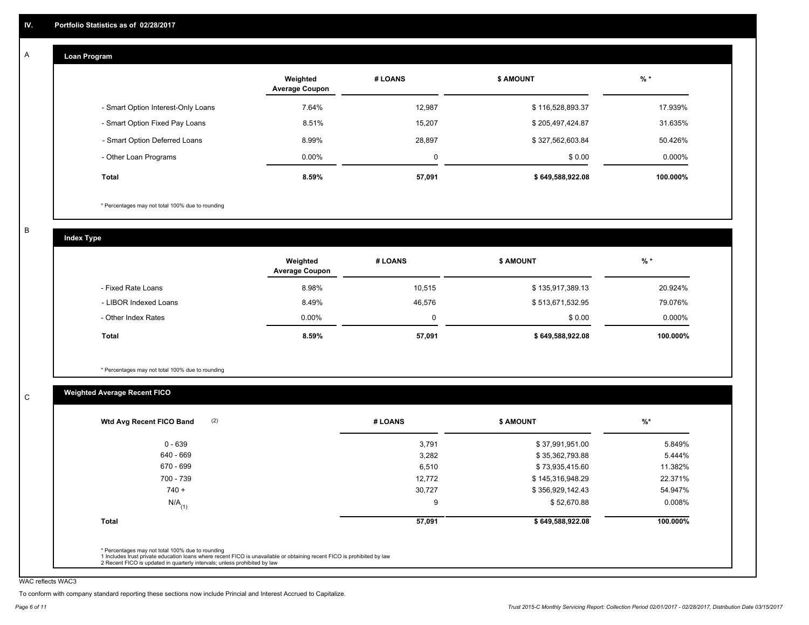#### **Loan Program**  A

|                                    | Weighted<br><b>Average Coupon</b> | # LOANS | <b>\$ AMOUNT</b> | $%$ *     |
|------------------------------------|-----------------------------------|---------|------------------|-----------|
| - Smart Option Interest-Only Loans | 7.64%                             | 12.987  | \$116,528,893.37 | 17.939%   |
| - Smart Option Fixed Pay Loans     | 8.51%                             | 15,207  | \$205,497,424.87 | 31.635%   |
| - Smart Option Deferred Loans      | 8.99%                             | 28.897  | \$327,562,603.84 | 50.426%   |
| - Other Loan Programs              | $0.00\%$                          | 0       | \$0.00           | $0.000\%$ |
| <b>Total</b>                       | 8.59%                             | 57,091  | \$649,588,922.08 | 100.000%  |

\* Percentages may not total 100% due to rounding

B

C

**Index Type**

|                       | Weighted<br><b>Average Coupon</b> | # LOANS | <b>\$ AMOUNT</b> | $%$ *     |
|-----------------------|-----------------------------------|---------|------------------|-----------|
| - Fixed Rate Loans    | 8.98%                             | 10,515  | \$135,917,389.13 | 20.924%   |
| - LIBOR Indexed Loans | 8.49%                             | 46,576  | \$513,671,532.95 | 79.076%   |
| - Other Index Rates   | $0.00\%$                          | 0       | \$0.00           | $0.000\%$ |
| <b>Total</b>          | 8.59%                             | 57,091  | \$649,588,922.08 | 100.000%  |

\* Percentages may not total 100% due to rounding

## **Weighted Average Recent FICO**

| $0 - 639$            | 3,791  | \$37,991,951.00  | 5.849%    |
|----------------------|--------|------------------|-----------|
|                      |        |                  |           |
| 640 - 669            | 3,282  | \$35,362,793.88  | 5.444%    |
| 670 - 699            | 6,510  | \$73,935,415.60  | 11.382%   |
| 700 - 739            | 12,772 | \$145,316,948.29 | 22.371%   |
| $740 +$              | 30,727 | \$356,929,142.43 | 54.947%   |
| $N/A$ <sub>(1)</sub> | 9      | \$52,670.88      | $0.008\%$ |
| <b>Total</b>         | 57,091 | \$649,588,922.08 | 100.000%  |

WAC reflects WAC3

To conform with company standard reporting these sections now include Princial and Interest Accrued to Capitalize.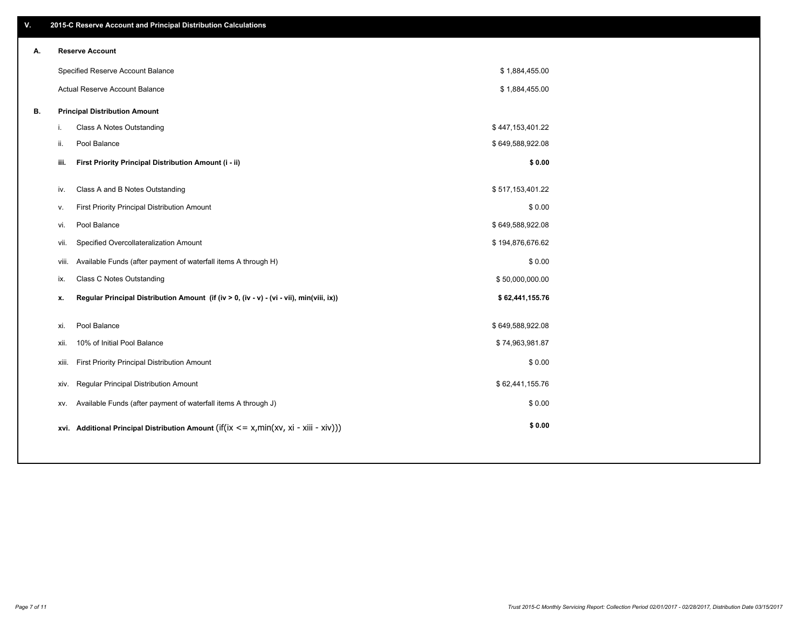| V. |       | 2015-C Reserve Account and Principal Distribution Calculations                             |                  |  |
|----|-------|--------------------------------------------------------------------------------------------|------------------|--|
| А. |       | <b>Reserve Account</b>                                                                     |                  |  |
|    |       | Specified Reserve Account Balance                                                          | \$1,884,455.00   |  |
|    |       | Actual Reserve Account Balance                                                             | \$1,884,455.00   |  |
| В. |       | <b>Principal Distribution Amount</b>                                                       |                  |  |
|    | i.    | Class A Notes Outstanding                                                                  | \$447,153,401.22 |  |
|    | ii.   | Pool Balance                                                                               | \$649,588,922.08 |  |
|    | iii.  | First Priority Principal Distribution Amount (i - ii)                                      | \$0.00           |  |
|    |       |                                                                                            |                  |  |
|    | iv.   | Class A and B Notes Outstanding                                                            | \$517,153,401.22 |  |
|    | v.    | First Priority Principal Distribution Amount                                               | \$0.00           |  |
|    | vi.   | Pool Balance                                                                               | \$649,588,922.08 |  |
|    | vii.  | Specified Overcollateralization Amount                                                     | \$194,876,676.62 |  |
|    | viii. | Available Funds (after payment of waterfall items A through H)                             | \$0.00           |  |
|    | ix.   | <b>Class C Notes Outstanding</b>                                                           | \$50,000,000.00  |  |
|    | x.    | Regular Principal Distribution Amount (if (iv > 0, (iv - v) - (vi - vii), min(viii, ix))   | \$62,441,155.76  |  |
|    | xi.   | Pool Balance                                                                               | \$649,588,922.08 |  |
|    |       | 10% of Initial Pool Balance                                                                | \$74,963,981.87  |  |
|    | xii.  |                                                                                            |                  |  |
|    | xiii. | First Priority Principal Distribution Amount                                               | \$0.00           |  |
|    | XIV.  | Regular Principal Distribution Amount                                                      | \$62,441,155.76  |  |
|    | XV.   | Available Funds (after payment of waterfall items A through J)                             | \$0.00           |  |
|    |       | xvi. Additional Principal Distribution Amount (if(ix $\lt$ = x, min(xv, xi - xiii - xiv))) | \$0.00           |  |
|    |       |                                                                                            |                  |  |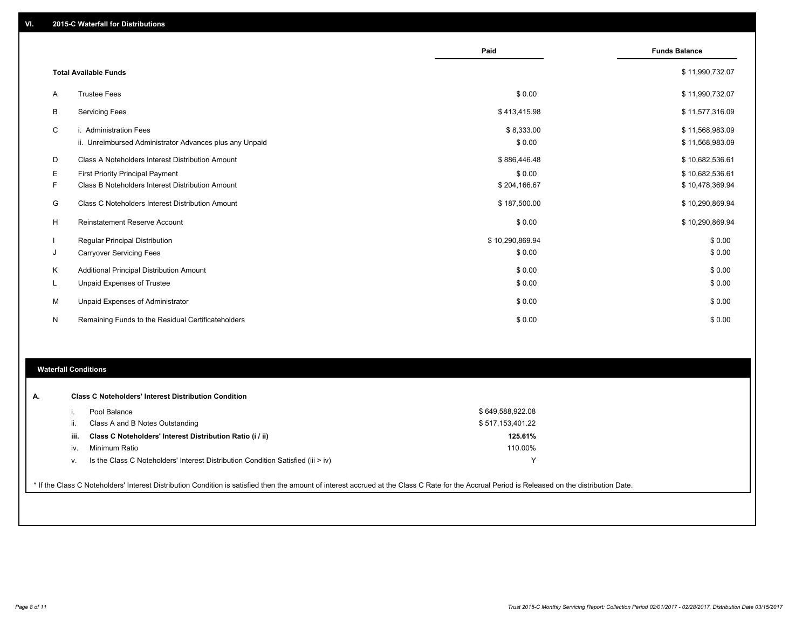|    |                                                                                   | Paid                 | <b>Funds Balance</b>               |
|----|-----------------------------------------------------------------------------------|----------------------|------------------------------------|
|    | <b>Total Available Funds</b>                                                      |                      | \$11,990,732.07                    |
| A  | <b>Trustee Fees</b>                                                               | \$0.00               | \$11,990,732.07                    |
| В  | <b>Servicing Fees</b>                                                             | \$413,415.98         | \$11,577,316.09                    |
| C  | i. Administration Fees<br>ii. Unreimbursed Administrator Advances plus any Unpaid | \$8,333.00<br>\$0.00 | \$11,568,983.09<br>\$11,568,983.09 |
| D  | Class A Noteholders Interest Distribution Amount                                  | \$886,446.48         | \$10,682,536.61                    |
| Е  | <b>First Priority Principal Payment</b>                                           | \$0.00               | \$10,682,536.61                    |
| F  | Class B Noteholders Interest Distribution Amount                                  | \$204,166.67         | \$10,478,369.94                    |
| G  | Class C Noteholders Interest Distribution Amount                                  | \$187,500.00         | \$10,290,869.94                    |
| н  | <b>Reinstatement Reserve Account</b>                                              | \$0.00               | \$10,290,869.94                    |
|    | <b>Regular Principal Distribution</b>                                             | \$10,290,869.94      | \$0.00                             |
| J  | <b>Carryover Servicing Fees</b>                                                   | \$0.00               | \$0.00                             |
| К  | Additional Principal Distribution Amount                                          | \$0.00               | \$0.00                             |
| L. | Unpaid Expenses of Trustee                                                        | \$0.00               | \$0.00                             |
| М  | Unpaid Expenses of Administrator                                                  | \$0.00               | \$0.00                             |
| N  | Remaining Funds to the Residual Certificateholders                                | \$0.00               | \$0.00                             |

#### **Waterfall Conditions**

|      | Pool Balance                                                                       | \$649,588,922.08 |  |
|------|------------------------------------------------------------------------------------|------------------|--|
| Ш.   | Class A and B Notes Outstanding                                                    | \$517,153,401.22 |  |
| iii. | Class C Noteholders' Interest Distribution Ratio (i / ii)                          | 125.61%          |  |
| IV.  | Minimum Ratio                                                                      | 110.00%          |  |
| ν.   | Is the Class C Noteholders' Interest Distribution Condition Satisfied (iii $>$ iv) | ∨                |  |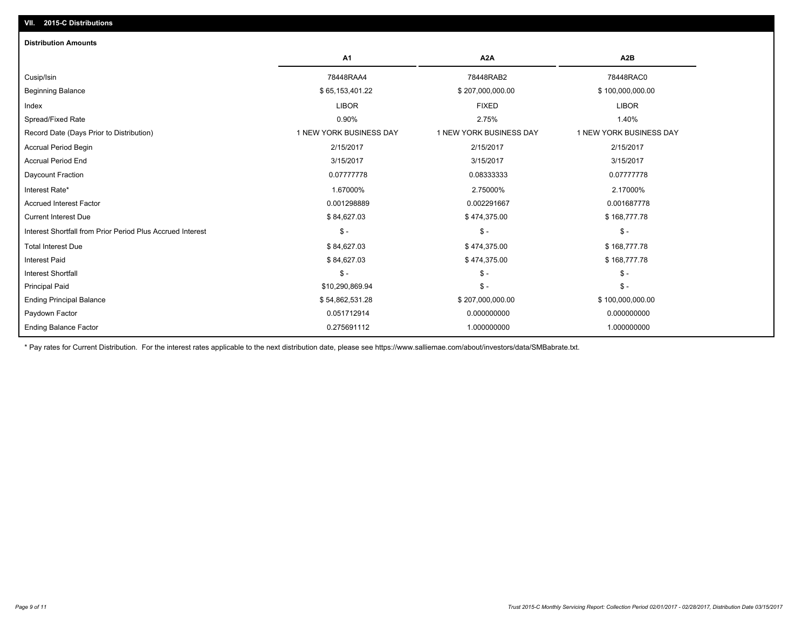| <b>Distribution Amounts</b>                                |                         |                         |                         |
|------------------------------------------------------------|-------------------------|-------------------------|-------------------------|
|                                                            | A <sub>1</sub>          | A <sub>2</sub> A        | A <sub>2</sub> B        |
| Cusip/Isin                                                 | 78448RAA4               | 78448RAB2               | 78448RAC0               |
| <b>Beginning Balance</b>                                   | \$65,153,401.22         | \$207,000,000.00        | \$100,000,000.00        |
| Index                                                      | <b>LIBOR</b>            | <b>FIXED</b>            | <b>LIBOR</b>            |
| Spread/Fixed Rate                                          | 0.90%                   | 2.75%                   | 1.40%                   |
| Record Date (Days Prior to Distribution)                   | 1 NEW YORK BUSINESS DAY | 1 NEW YORK BUSINESS DAY | 1 NEW YORK BUSINESS DAY |
| <b>Accrual Period Begin</b>                                | 2/15/2017               | 2/15/2017               | 2/15/2017               |
| <b>Accrual Period End</b>                                  | 3/15/2017               | 3/15/2017               | 3/15/2017               |
| Daycount Fraction                                          | 0.07777778              | 0.08333333              | 0.07777778              |
| Interest Rate*                                             | 1.67000%                | 2.75000%                | 2.17000%                |
| <b>Accrued Interest Factor</b>                             | 0.001298889             | 0.002291667             | 0.001687778             |
| <b>Current Interest Due</b>                                | \$84,627.03             | \$474,375.00            | \$168,777.78            |
| Interest Shortfall from Prior Period Plus Accrued Interest | $\mathsf{\$}$ -         | $\mathsf{\$}$ -         | $S -$                   |
| <b>Total Interest Due</b>                                  | \$84,627.03             | \$474,375.00            | \$168,777.78            |
| <b>Interest Paid</b>                                       | \$84,627.03             | \$474,375.00            | \$168,777.78            |
| <b>Interest Shortfall</b>                                  | $\mathsf{\$}$ -         | $S -$                   | $S -$                   |
| <b>Principal Paid</b>                                      | \$10,290,869.94         | $S -$                   | $S -$                   |
| <b>Ending Principal Balance</b>                            | \$54,862,531.28         | \$207,000,000.00        | \$100,000,000.00        |
| Paydown Factor                                             | 0.051712914             | 0.000000000             | 0.000000000             |
| <b>Ending Balance Factor</b>                               | 0.275691112             | 1.000000000             | 1.000000000             |

\* Pay rates for Current Distribution. For the interest rates applicable to the next distribution date, please see https://www.salliemae.com/about/investors/data/SMBabrate.txt.

**VII. 2015-C Distributions**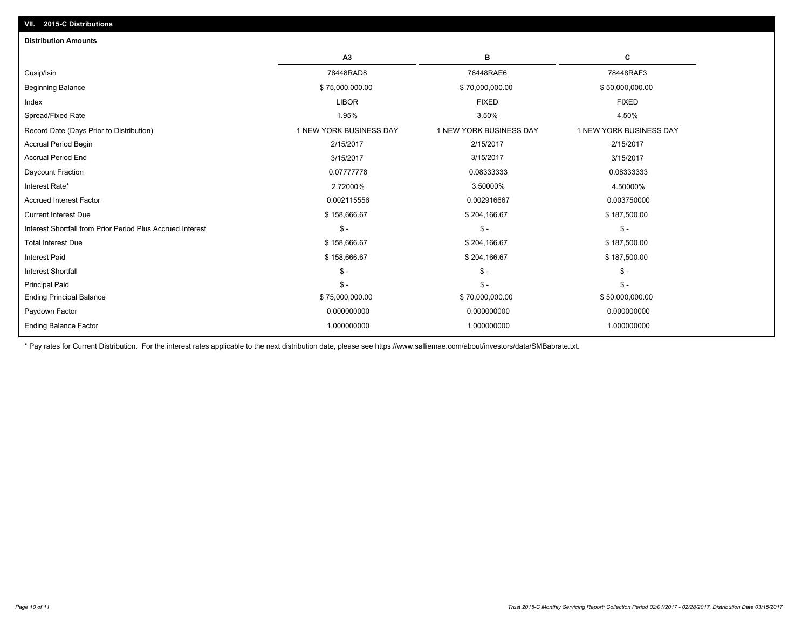| <b>Distribution Amounts</b>                                |                         |                         |                         |
|------------------------------------------------------------|-------------------------|-------------------------|-------------------------|
|                                                            | A <sub>3</sub>          | в                       | С                       |
| Cusip/Isin                                                 | 78448RAD8               | 78448RAE6               | 78448RAF3               |
| <b>Beginning Balance</b>                                   | \$75,000,000.00         | \$70,000,000.00         | \$50,000,000.00         |
| Index                                                      | <b>LIBOR</b>            | <b>FIXED</b>            | <b>FIXED</b>            |
| Spread/Fixed Rate                                          | 1.95%                   | 3.50%                   | 4.50%                   |
| Record Date (Days Prior to Distribution)                   | 1 NEW YORK BUSINESS DAY | 1 NEW YORK BUSINESS DAY | 1 NEW YORK BUSINESS DAY |
| <b>Accrual Period Begin</b>                                | 2/15/2017               | 2/15/2017               | 2/15/2017               |
| <b>Accrual Period End</b>                                  | 3/15/2017               | 3/15/2017               | 3/15/2017               |
| Daycount Fraction                                          | 0.07777778              | 0.08333333              | 0.08333333              |
| Interest Rate*                                             | 2.72000%                | 3.50000%                | 4.50000%                |
| <b>Accrued Interest Factor</b>                             | 0.002115556             | 0.002916667             | 0.003750000             |
| <b>Current Interest Due</b>                                | \$158,666.67            | \$204,166.67            | \$187,500.00            |
| Interest Shortfall from Prior Period Plus Accrued Interest | $S -$                   | $S -$                   | $\mathsf{\$}$ -         |
| <b>Total Interest Due</b>                                  | \$158,666.67            | \$204,166.67            | \$187,500.00            |
| <b>Interest Paid</b>                                       | \$158,666.67            | \$204,166.67            | \$187,500.00            |
| <b>Interest Shortfall</b>                                  | $\mathcal{S}$ -         | $S -$                   | $\mathsf{\$}$ -         |
| <b>Principal Paid</b>                                      | $\mathsf{\$}$ -         | $S -$                   | $\mathsf{\$}$ -         |
| <b>Ending Principal Balance</b>                            | \$75,000,000.00         | \$70,000,000.00         | \$50,000,000.00         |
| Paydown Factor                                             | 0.000000000             | 0.000000000             | 0.000000000             |
| <b>Ending Balance Factor</b>                               | 1.000000000             | 1.000000000             | 1.000000000             |
|                                                            |                         |                         |                         |

\* Pay rates for Current Distribution. For the interest rates applicable to the next distribution date, please see https://www.salliemae.com/about/investors/data/SMBabrate.txt.

**VII. 2015-C Distributions**